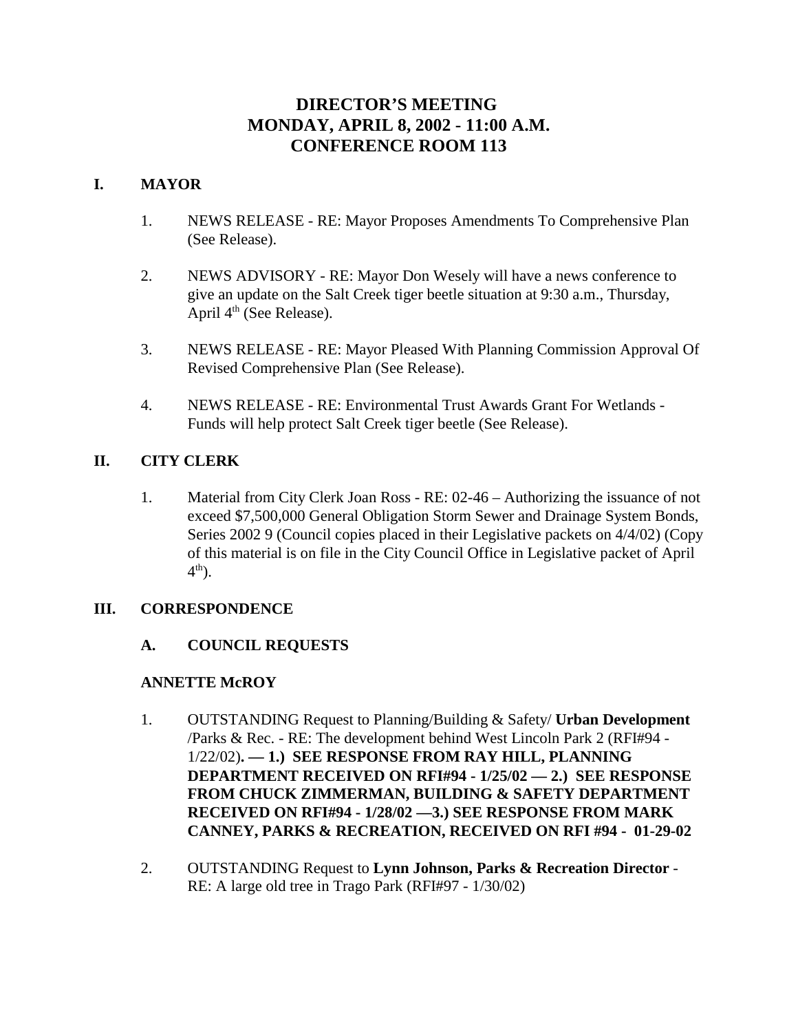# **DIRECTOR'S MEETING MONDAY, APRIL 8, 2002 - 11:00 A.M. CONFERENCE ROOM 113**

# **I. MAYOR**

- 1. NEWS RELEASE RE: Mayor Proposes Amendments To Comprehensive Plan (See Release).
- 2. NEWS ADVISORY RE: Mayor Don Wesely will have a news conference to give an update on the Salt Creek tiger beetle situation at 9:30 a.m., Thursday, April  $4<sup>th</sup>$  (See Release).
- 3. NEWS RELEASE RE: Mayor Pleased With Planning Commission Approval Of Revised Comprehensive Plan (See Release).
- 4. NEWS RELEASE RE: Environmental Trust Awards Grant For Wetlands Funds will help protect Salt Creek tiger beetle (See Release).

# **II. CITY CLERK**

1. Material from City Clerk Joan Ross - RE: 02-46 – Authorizing the issuance of not exceed \$7,500,000 General Obligation Storm Sewer and Drainage System Bonds, Series 2002 9 (Council copies placed in their Legislative packets on 4/4/02) (Copy of this material is on file in the City Council Office in Legislative packet of April  $4<sup>th</sup>$ ).

# **III. CORRESPONDENCE**

# **A. COUNCIL REQUESTS**

# **ANNETTE McROY**

- 1. OUTSTANDING Request to Planning/Building & Safety/ **Urban Development** /Parks & Rec. - RE: The development behind West Lincoln Park 2 (RFI#94 - 1/22/02)**. — 1.) SEE RESPONSE FROM RAY HILL, PLANNING DEPARTMENT RECEIVED ON RFI#94 - 1/25/02 — 2.) SEE RESPONSE FROM CHUCK ZIMMERMAN, BUILDING & SAFETY DEPARTMENT RECEIVED ON RFI#94 - 1/28/02 —3.) SEE RESPONSE FROM MARK CANNEY, PARKS & RECREATION, RECEIVED ON RFI #94 - 01-29-02**
- 2. OUTSTANDING Request to **Lynn Johnson, Parks & Recreation Director** RE: A large old tree in Trago Park (RFI#97 - 1/30/02)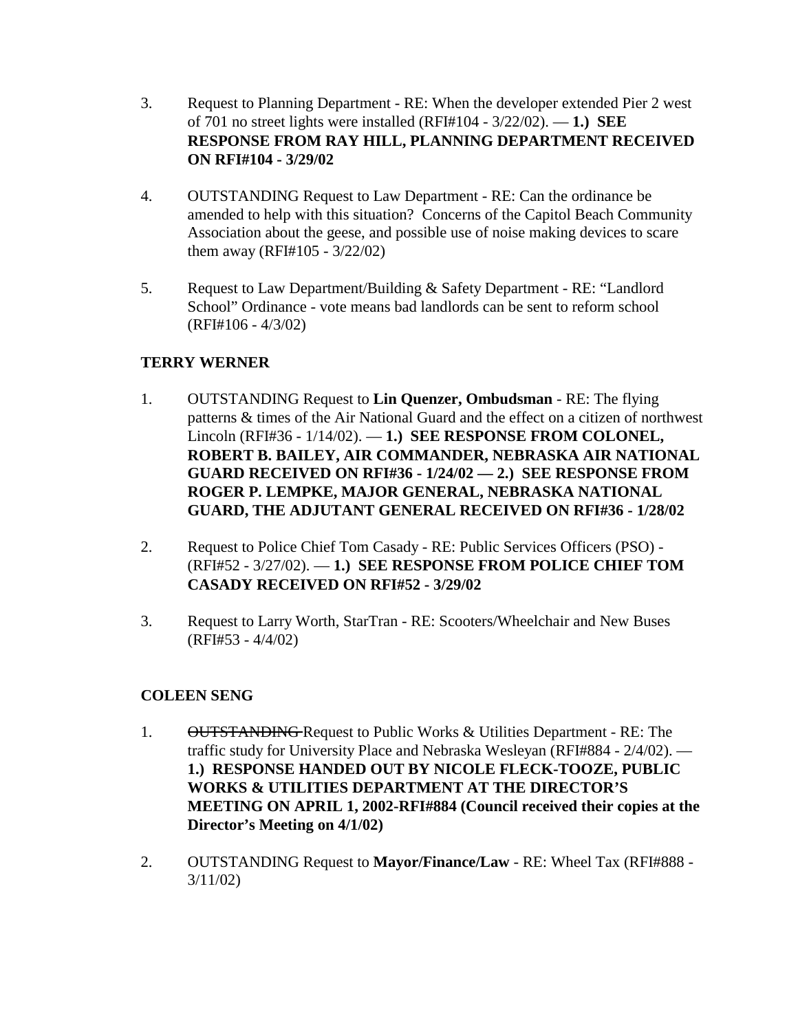- 3. Request to Planning Department RE: When the developer extended Pier 2 west of 701 no street lights were installed (RFI#104 - 3/22/02). — **1.) SEE RESPONSE FROM RAY HILL, PLANNING DEPARTMENT RECEIVED ON RFI#104 - 3/29/02**
- 4. OUTSTANDING Request to Law Department RE: Can the ordinance be amended to help with this situation? Concerns of the Capitol Beach Community Association about the geese, and possible use of noise making devices to scare them away (RFI#105 - 3/22/02)
- 5. Request to Law Department/Building & Safety Department RE: "Landlord School" Ordinance - vote means bad landlords can be sent to reform school (RFI#106 - 4/3/02)

# **TERRY WERNER**

- 1. OUTSTANDING Request to **Lin Quenzer, Ombudsman** RE: The flying patterns & times of the Air National Guard and the effect on a citizen of northwest Lincoln (RFI#36 - 1/14/02). — **1.) SEE RESPONSE FROM COLONEL, ROBERT B. BAILEY, AIR COMMANDER, NEBRASKA AIR NATIONAL GUARD RECEIVED ON RFI#36 - 1/24/02 — 2.) SEE RESPONSE FROM ROGER P. LEMPKE, MAJOR GENERAL, NEBRASKA NATIONAL GUARD, THE ADJUTANT GENERAL RECEIVED ON RFI#36 - 1/28/02**
- 2. Request to Police Chief Tom Casady RE: Public Services Officers (PSO) (RFI#52 - 3/27/02). — **1.) SEE RESPONSE FROM POLICE CHIEF TOM CASADY RECEIVED ON RFI#52 - 3/29/02**
- 3. Request to Larry Worth, StarTran RE: Scooters/Wheelchair and New Buses (RFI#53 - 4/4/02)

# **COLEEN SENG**

- 1. OUTSTANDING Request to Public Works & Utilities Department RE: The traffic study for University Place and Nebraska Wesleyan (RFI#884 - 2/4/02). — **1.) RESPONSE HANDED OUT BY NICOLE FLECK-TOOZE, PUBLIC WORKS & UTILITIES DEPARTMENT AT THE DIRECTOR'S MEETING ON APRIL 1, 2002-RFI#884 (Council received their copies at the Director's Meeting on 4/1/02)**
- 2. OUTSTANDING Request to **Mayor/Finance/Law** RE: Wheel Tax (RFI#888 3/11/02)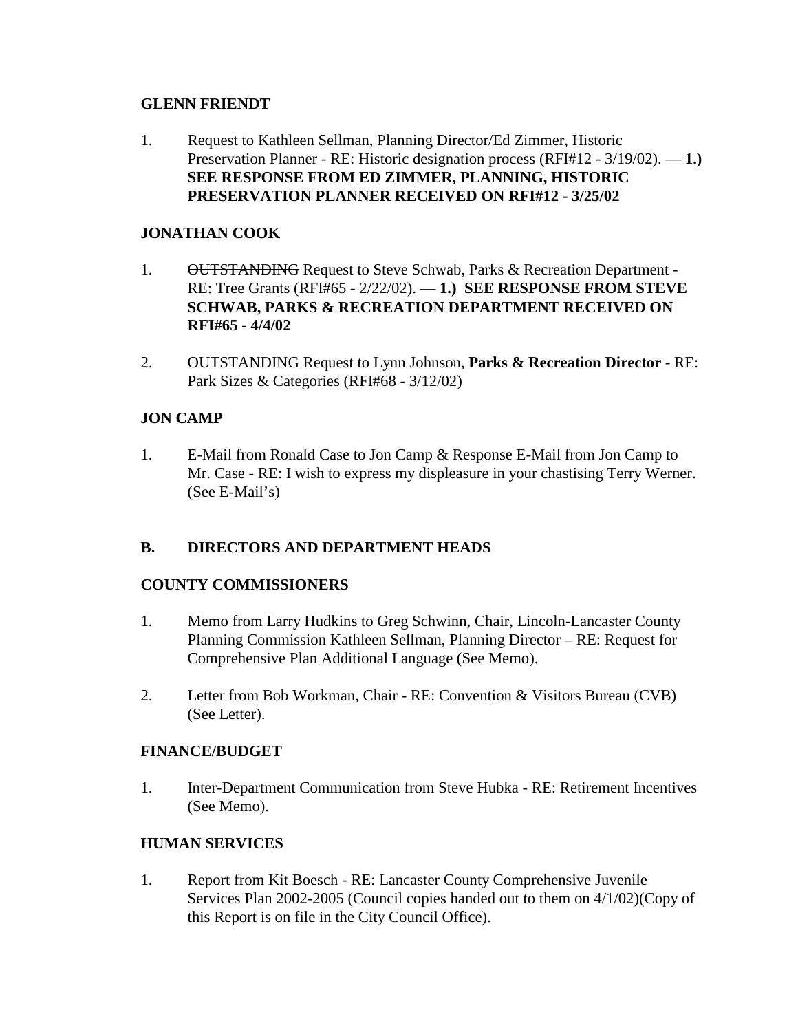## **GLENN FRIENDT**

1. Request to Kathleen Sellman, Planning Director/Ed Zimmer, Historic Preservation Planner - RE: Historic designation process (RFI#12 - 3/19/02). — **1.) SEE RESPONSE FROM ED ZIMMER, PLANNING, HISTORIC PRESERVATION PLANNER RECEIVED ON RFI#12 - 3/25/02** 

# **JONATHAN COOK**

- 1. OUTSTANDING Request to Steve Schwab, Parks & Recreation Department -RE: Tree Grants (RFI#65 - 2/22/02). — **1.) SEE RESPONSE FROM STEVE SCHWAB, PARKS & RECREATION DEPARTMENT RECEIVED ON RFI#65 - 4/4/02**
- 2. OUTSTANDING Request to Lynn Johnson, **Parks & Recreation Director** RE: Park Sizes & Categories (RFI#68 - 3/12/02)

# **JON CAMP**

1. E-Mail from Ronald Case to Jon Camp & Response E-Mail from Jon Camp to Mr. Case - RE: I wish to express my displeasure in your chastising Terry Werner. (See E-Mail's)

# **B. DIRECTORS AND DEPARTMENT HEADS**

# **COUNTY COMMISSIONERS**

- 1. Memo from Larry Hudkins to Greg Schwinn, Chair, Lincoln-Lancaster County Planning Commission Kathleen Sellman, Planning Director – RE: Request for Comprehensive Plan Additional Language (See Memo).
- 2. Letter from Bob Workman, Chair RE: Convention & Visitors Bureau (CVB) (See Letter).

# **FINANCE/BUDGET**

1. Inter-Department Communication from Steve Hubka - RE: Retirement Incentives (See Memo).

# **HUMAN SERVICES**

1. Report from Kit Boesch - RE: Lancaster County Comprehensive Juvenile Services Plan 2002-2005 (Council copies handed out to them on 4/1/02)(Copy of this Report is on file in the City Council Office).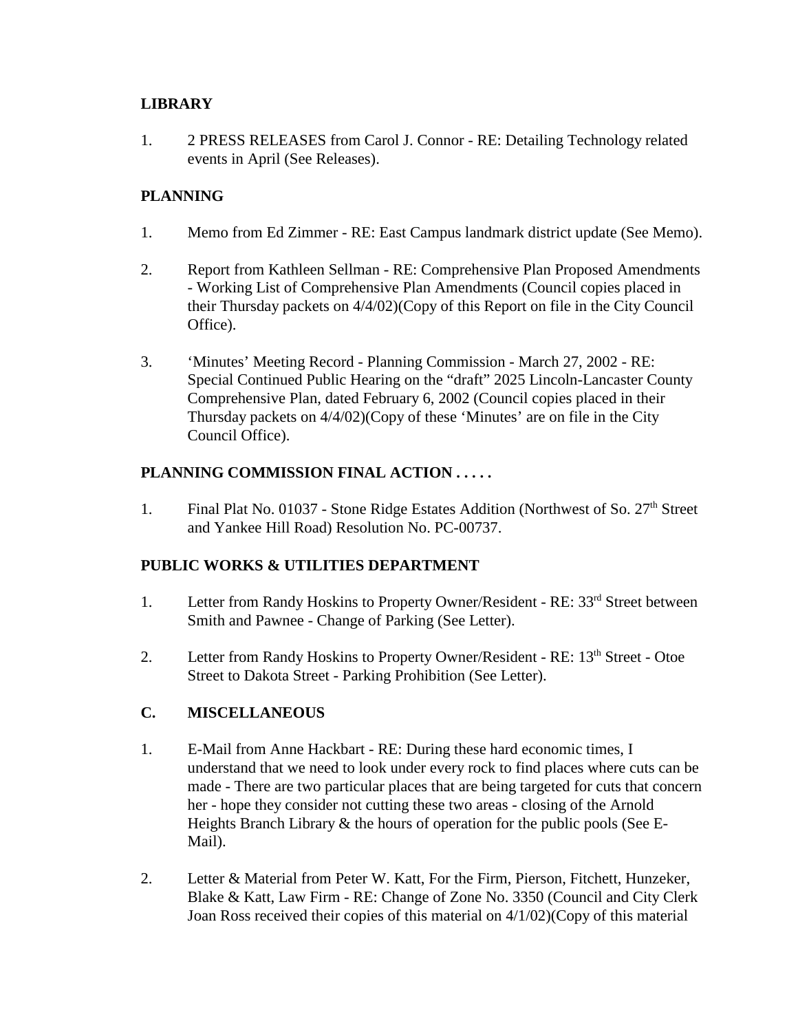# **LIBRARY**

1. 2 PRESS RELEASES from Carol J. Connor - RE: Detailing Technology related events in April (See Releases).

# **PLANNING**

- 1. Memo from Ed Zimmer RE: East Campus landmark district update (See Memo).
- 2. Report from Kathleen Sellman RE: Comprehensive Plan Proposed Amendments - Working List of Comprehensive Plan Amendments (Council copies placed in their Thursday packets on 4/4/02)(Copy of this Report on file in the City Council Office).
- 3. 'Minutes' Meeting Record Planning Commission March 27, 2002 RE: Special Continued Public Hearing on the "draft" 2025 Lincoln-Lancaster County Comprehensive Plan, dated February 6, 2002 (Council copies placed in their Thursday packets on 4/4/02)(Copy of these 'Minutes' are on file in the City Council Office).

# **PLANNING COMMISSION FINAL ACTION . . . . .**

1. Final Plat No. 01037 - Stone Ridge Estates Addition (Northwest of So. 27<sup>th</sup> Street and Yankee Hill Road) Resolution No. PC-00737.

# **PUBLIC WORKS & UTILITIES DEPARTMENT**

- 1. Letter from Randy Hoskins to Property Owner/Resident RE: 33<sup>rd</sup> Street between Smith and Pawnee - Change of Parking (See Letter).
- 2. Letter from Randy Hoskins to Property Owner/Resident RE: 13<sup>th</sup> Street Otoe Street to Dakota Street - Parking Prohibition (See Letter).

# **C. MISCELLANEOUS**

- 1. E-Mail from Anne Hackbart RE: During these hard economic times, I understand that we need to look under every rock to find places where cuts can be made - There are two particular places that are being targeted for cuts that concern her - hope they consider not cutting these two areas - closing of the Arnold Heights Branch Library & the hours of operation for the public pools (See E-Mail).
- 2. Letter & Material from Peter W. Katt, For the Firm, Pierson, Fitchett, Hunzeker, Blake & Katt, Law Firm - RE: Change of Zone No. 3350 (Council and City Clerk Joan Ross received their copies of this material on 4/1/02)(Copy of this material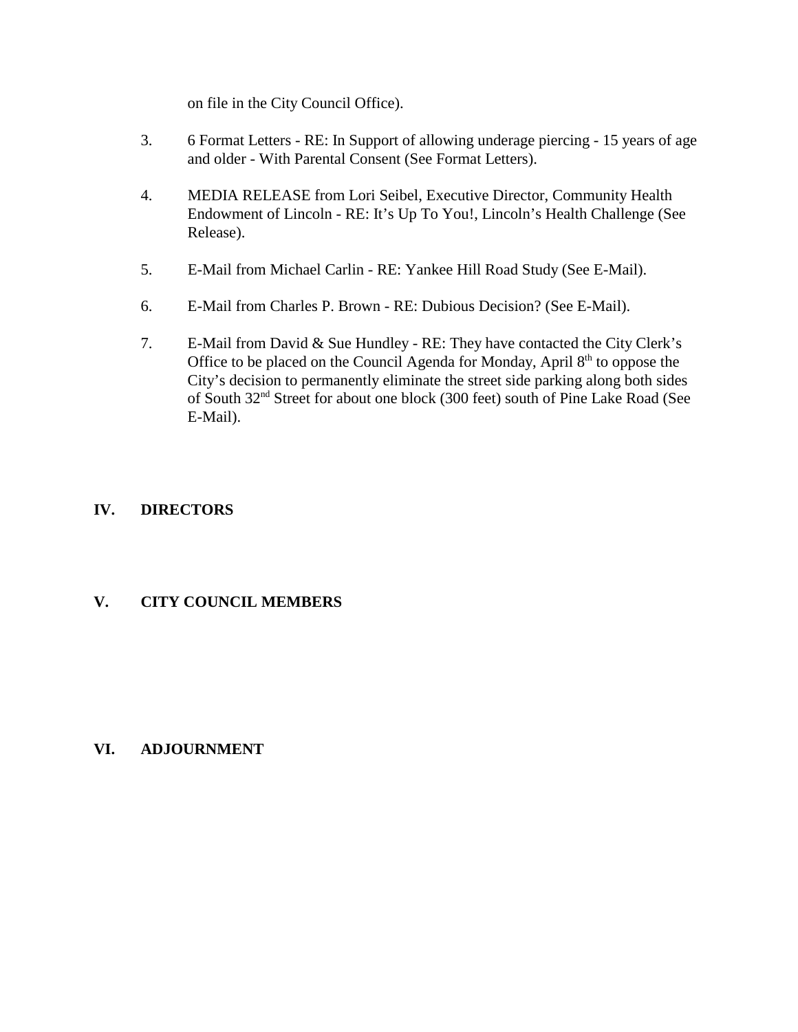on file in the City Council Office).

- 3. 6 Format Letters RE: In Support of allowing underage piercing 15 years of age and older - With Parental Consent (See Format Letters).
- 4. MEDIA RELEASE from Lori Seibel, Executive Director, Community Health Endowment of Lincoln - RE: It's Up To You!, Lincoln's Health Challenge (See Release).
- 5. E-Mail from Michael Carlin RE: Yankee Hill Road Study (See E-Mail).
- 6. E-Mail from Charles P. Brown RE: Dubious Decision? (See E-Mail).
- 7. E-Mail from David & Sue Hundley RE: They have contacted the City Clerk's Office to be placed on the Council Agenda for Monday, April  $8<sup>th</sup>$  to oppose the City's decision to permanently eliminate the street side parking along both sides of South 32nd Street for about one block (300 feet) south of Pine Lake Road (See E-Mail).

# **IV. DIRECTORS**

# **V. CITY COUNCIL MEMBERS**

# **VI. ADJOURNMENT**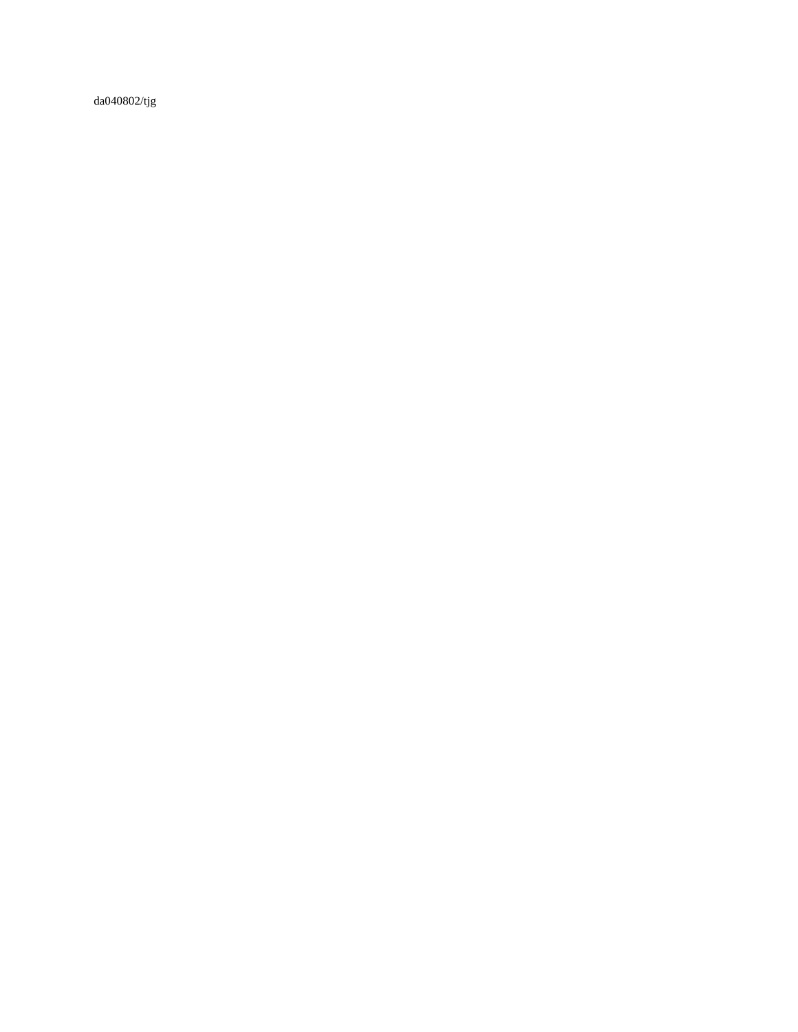da040802/tjg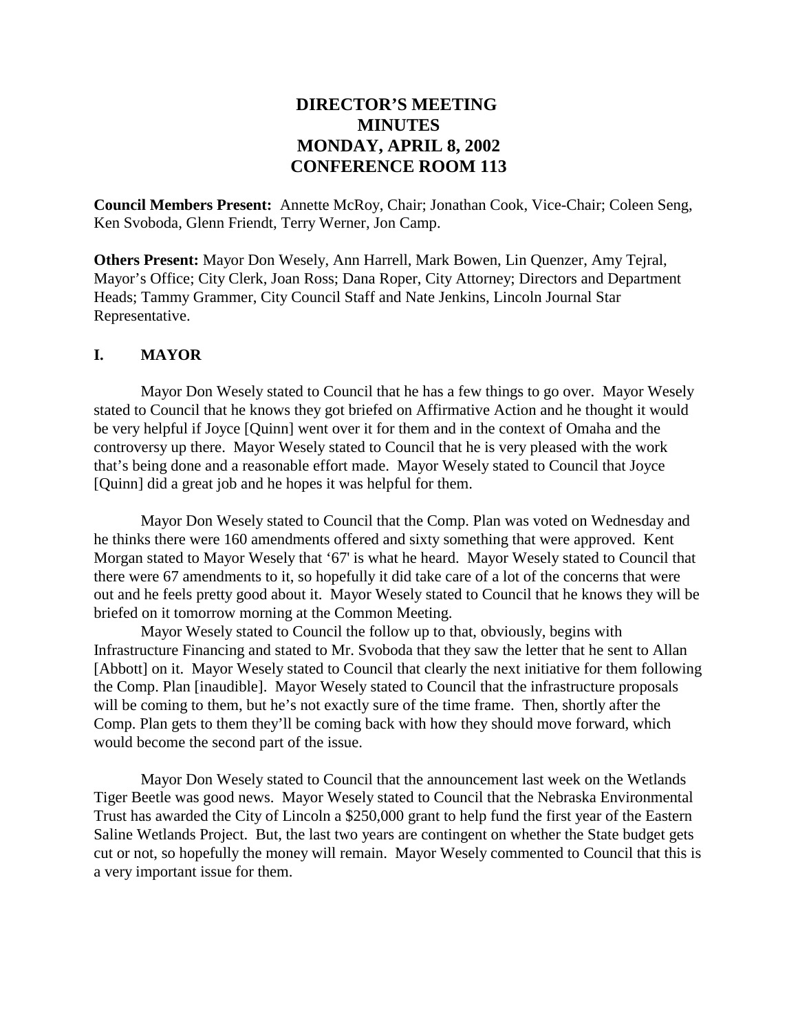# **DIRECTOR'S MEETING MINUTES MONDAY, APRIL 8, 2002 CONFERENCE ROOM 113**

**Council Members Present:** Annette McRoy, Chair; Jonathan Cook, Vice-Chair; Coleen Seng, Ken Svoboda, Glenn Friendt, Terry Werner, Jon Camp.

**Others Present:** Mayor Don Wesely, Ann Harrell, Mark Bowen, Lin Quenzer, Amy Tejral, Mayor's Office; City Clerk, Joan Ross; Dana Roper, City Attorney; Directors and Department Heads; Tammy Grammer, City Council Staff and Nate Jenkins, Lincoln Journal Star Representative.

### **I. MAYOR**

Mayor Don Wesely stated to Council that he has a few things to go over. Mayor Wesely stated to Council that he knows they got briefed on Affirmative Action and he thought it would be very helpful if Joyce [Quinn] went over it for them and in the context of Omaha and the controversy up there. Mayor Wesely stated to Council that he is very pleased with the work that's being done and a reasonable effort made. Mayor Wesely stated to Council that Joyce [Quinn] did a great job and he hopes it was helpful for them.

Mayor Don Wesely stated to Council that the Comp. Plan was voted on Wednesday and he thinks there were 160 amendments offered and sixty something that were approved. Kent Morgan stated to Mayor Wesely that '67' is what he heard. Mayor Wesely stated to Council that there were 67 amendments to it, so hopefully it did take care of a lot of the concerns that were out and he feels pretty good about it. Mayor Wesely stated to Council that he knows they will be briefed on it tomorrow morning at the Common Meeting.

Mayor Wesely stated to Council the follow up to that, obviously, begins with Infrastructure Financing and stated to Mr. Svoboda that they saw the letter that he sent to Allan [Abbott] on it. Mayor Wesely stated to Council that clearly the next initiative for them following the Comp. Plan [inaudible]. Mayor Wesely stated to Council that the infrastructure proposals will be coming to them, but he's not exactly sure of the time frame. Then, shortly after the Comp. Plan gets to them they'll be coming back with how they should move forward, which would become the second part of the issue.

Mayor Don Wesely stated to Council that the announcement last week on the Wetlands Tiger Beetle was good news. Mayor Wesely stated to Council that the Nebraska Environmental Trust has awarded the City of Lincoln a \$250,000 grant to help fund the first year of the Eastern Saline Wetlands Project. But, the last two years are contingent on whether the State budget gets cut or not, so hopefully the money will remain. Mayor Wesely commented to Council that this is a very important issue for them.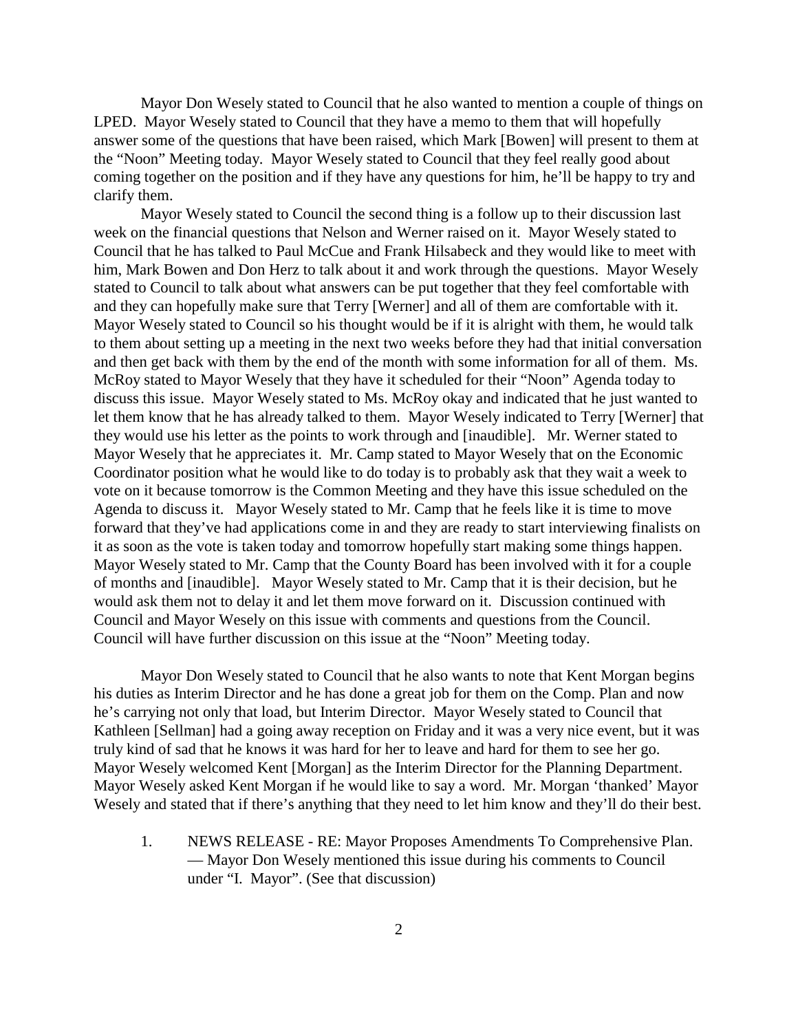Mayor Don Wesely stated to Council that he also wanted to mention a couple of things on LPED. Mayor Wesely stated to Council that they have a memo to them that will hopefully answer some of the questions that have been raised, which Mark [Bowen] will present to them at the "Noon" Meeting today. Mayor Wesely stated to Council that they feel really good about coming together on the position and if they have any questions for him, he'll be happy to try and clarify them.

Mayor Wesely stated to Council the second thing is a follow up to their discussion last week on the financial questions that Nelson and Werner raised on it. Mayor Wesely stated to Council that he has talked to Paul McCue and Frank Hilsabeck and they would like to meet with him, Mark Bowen and Don Herz to talk about it and work through the questions. Mayor Wesely stated to Council to talk about what answers can be put together that they feel comfortable with and they can hopefully make sure that Terry [Werner] and all of them are comfortable with it. Mayor Wesely stated to Council so his thought would be if it is alright with them, he would talk to them about setting up a meeting in the next two weeks before they had that initial conversation and then get back with them by the end of the month with some information for all of them. Ms. McRoy stated to Mayor Wesely that they have it scheduled for their "Noon" Agenda today to discuss this issue. Mayor Wesely stated to Ms. McRoy okay and indicated that he just wanted to let them know that he has already talked to them. Mayor Wesely indicated to Terry [Werner] that they would use his letter as the points to work through and [inaudible]. Mr. Werner stated to Mayor Wesely that he appreciates it. Mr. Camp stated to Mayor Wesely that on the Economic Coordinator position what he would like to do today is to probably ask that they wait a week to vote on it because tomorrow is the Common Meeting and they have this issue scheduled on the Agenda to discuss it. Mayor Wesely stated to Mr. Camp that he feels like it is time to move forward that they've had applications come in and they are ready to start interviewing finalists on it as soon as the vote is taken today and tomorrow hopefully start making some things happen. Mayor Wesely stated to Mr. Camp that the County Board has been involved with it for a couple of months and [inaudible]. Mayor Wesely stated to Mr. Camp that it is their decision, but he would ask them not to delay it and let them move forward on it. Discussion continued with Council and Mayor Wesely on this issue with comments and questions from the Council. Council will have further discussion on this issue at the "Noon" Meeting today.

Mayor Don Wesely stated to Council that he also wants to note that Kent Morgan begins his duties as Interim Director and he has done a great job for them on the Comp. Plan and now he's carrying not only that load, but Interim Director. Mayor Wesely stated to Council that Kathleen [Sellman] had a going away reception on Friday and it was a very nice event, but it was truly kind of sad that he knows it was hard for her to leave and hard for them to see her go. Mayor Wesely welcomed Kent [Morgan] as the Interim Director for the Planning Department. Mayor Wesely asked Kent Morgan if he would like to say a word. Mr. Morgan 'thanked' Mayor Wesely and stated that if there's anything that they need to let him know and they'll do their best.

1. NEWS RELEASE - RE: Mayor Proposes Amendments To Comprehensive Plan. — Mayor Don Wesely mentioned this issue during his comments to Council under "I. Mayor". (See that discussion)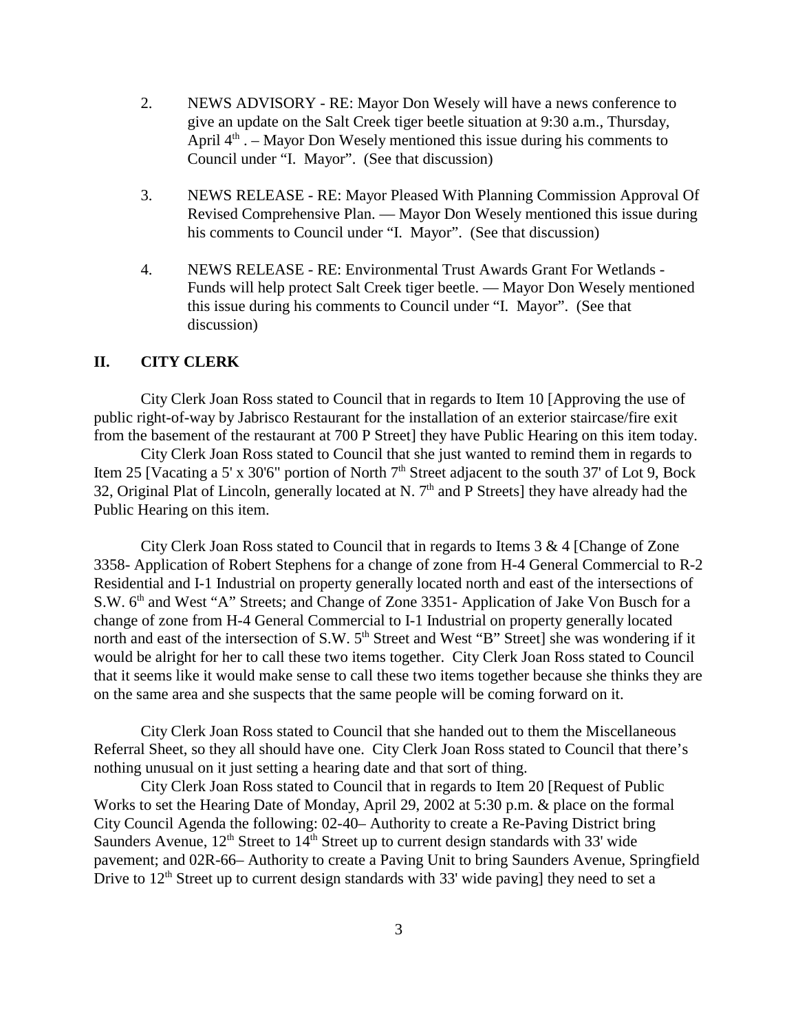- 2. NEWS ADVISORY RE: Mayor Don Wesely will have a news conference to give an update on the Salt Creek tiger beetle situation at 9:30 a.m., Thursday, April  $4<sup>th</sup>$ . – Mayor Don Wesely mentioned this issue during his comments to Council under "I. Mayor". (See that discussion)
- 3. NEWS RELEASE RE: Mayor Pleased With Planning Commission Approval Of Revised Comprehensive Plan. — Mayor Don Wesely mentioned this issue during his comments to Council under "I. Mayor". (See that discussion)
- 4. NEWS RELEASE RE: Environmental Trust Awards Grant For Wetlands Funds will help protect Salt Creek tiger beetle. — Mayor Don Wesely mentioned this issue during his comments to Council under "I. Mayor". (See that discussion)

#### **II. CITY CLERK**

City Clerk Joan Ross stated to Council that in regards to Item 10 [Approving the use of public right-of-way by Jabrisco Restaurant for the installation of an exterior staircase/fire exit from the basement of the restaurant at 700 P Street] they have Public Hearing on this item today.

City Clerk Joan Ross stated to Council that she just wanted to remind them in regards to Item 25 [Vacating a 5' x 30'6" portion of North 7<sup>th</sup> Street adjacent to the south 37' of Lot 9, Bock 32, Original Plat of Lincoln, generally located at N.  $7<sup>th</sup>$  and P Streets] they have already had the Public Hearing on this item.

City Clerk Joan Ross stated to Council that in regards to Items 3 & 4 [Change of Zone 3358- Application of Robert Stephens for a change of zone from H-4 General Commercial to R-2 Residential and I-1 Industrial on property generally located north and east of the intersections of S.W. 6<sup>th</sup> and West "A" Streets; and Change of Zone 3351- Application of Jake Von Busch for a change of zone from H-4 General Commercial to I-1 Industrial on property generally located north and east of the intersection of S.W. 5<sup>th</sup> Street and West "B" Street] she was wondering if it would be alright for her to call these two items together. City Clerk Joan Ross stated to Council that it seems like it would make sense to call these two items together because she thinks they are on the same area and she suspects that the same people will be coming forward on it.

City Clerk Joan Ross stated to Council that she handed out to them the Miscellaneous Referral Sheet, so they all should have one. City Clerk Joan Ross stated to Council that there's nothing unusual on it just setting a hearing date and that sort of thing.

City Clerk Joan Ross stated to Council that in regards to Item 20 [Request of Public Works to set the Hearing Date of Monday, April 29, 2002 at 5:30 p.m. & place on the formal City Council Agenda the following: 02-40– Authority to create a Re-Paving District bring Saunders Avenue,  $12<sup>th</sup>$  Street to  $14<sup>th</sup>$  Street up to current design standards with 33' wide pavement; and 02R-66– Authority to create a Paving Unit to bring Saunders Avenue, Springfield Drive to  $12<sup>th</sup>$  Street up to current design standards with 33' wide paving] they need to set a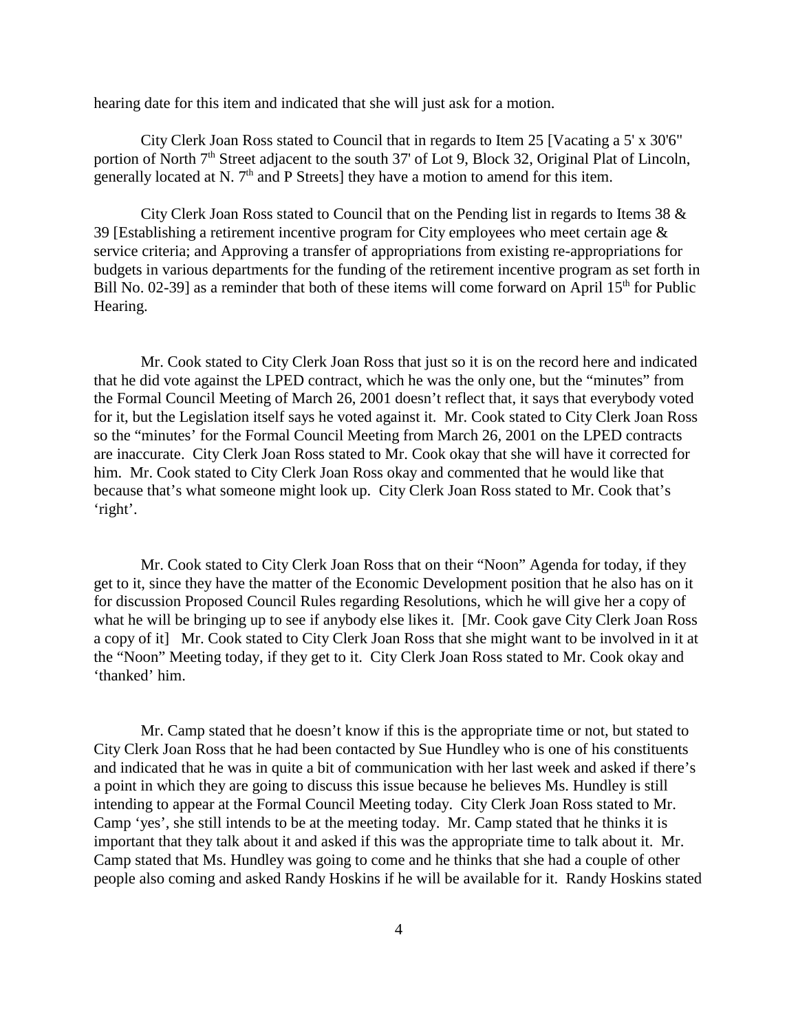hearing date for this item and indicated that she will just ask for a motion.

City Clerk Joan Ross stated to Council that in regards to Item 25 [Vacating a 5' x 30'6" portion of North 7<sup>th</sup> Street adjacent to the south 37' of Lot 9, Block 32, Original Plat of Lincoln, generally located at N.  $7<sup>th</sup>$  and P Streets] they have a motion to amend for this item.

City Clerk Joan Ross stated to Council that on the Pending list in regards to Items 38 & 39 [Establishing a retirement incentive program for City employees who meet certain age & service criteria; and Approving a transfer of appropriations from existing re-appropriations for budgets in various departments for the funding of the retirement incentive program as set forth in Bill No. 02-39] as a reminder that both of these items will come forward on April  $15<sup>th</sup>$  for Public Hearing.

Mr. Cook stated to City Clerk Joan Ross that just so it is on the record here and indicated that he did vote against the LPED contract, which he was the only one, but the "minutes" from the Formal Council Meeting of March 26, 2001 doesn't reflect that, it says that everybody voted for it, but the Legislation itself says he voted against it. Mr. Cook stated to City Clerk Joan Ross so the "minutes' for the Formal Council Meeting from March 26, 2001 on the LPED contracts are inaccurate. City Clerk Joan Ross stated to Mr. Cook okay that she will have it corrected for him. Mr. Cook stated to City Clerk Joan Ross okay and commented that he would like that because that's what someone might look up. City Clerk Joan Ross stated to Mr. Cook that's 'right'.

Mr. Cook stated to City Clerk Joan Ross that on their "Noon" Agenda for today, if they get to it, since they have the matter of the Economic Development position that he also has on it for discussion Proposed Council Rules regarding Resolutions, which he will give her a copy of what he will be bringing up to see if anybody else likes it. [Mr. Cook gave City Clerk Joan Ross a copy of it] Mr. Cook stated to City Clerk Joan Ross that she might want to be involved in it at the "Noon" Meeting today, if they get to it. City Clerk Joan Ross stated to Mr. Cook okay and 'thanked' him.

Mr. Camp stated that he doesn't know if this is the appropriate time or not, but stated to City Clerk Joan Ross that he had been contacted by Sue Hundley who is one of his constituents and indicated that he was in quite a bit of communication with her last week and asked if there's a point in which they are going to discuss this issue because he believes Ms. Hundley is still intending to appear at the Formal Council Meeting today. City Clerk Joan Ross stated to Mr. Camp 'yes', she still intends to be at the meeting today. Mr. Camp stated that he thinks it is important that they talk about it and asked if this was the appropriate time to talk about it. Mr. Camp stated that Ms. Hundley was going to come and he thinks that she had a couple of other people also coming and asked Randy Hoskins if he will be available for it. Randy Hoskins stated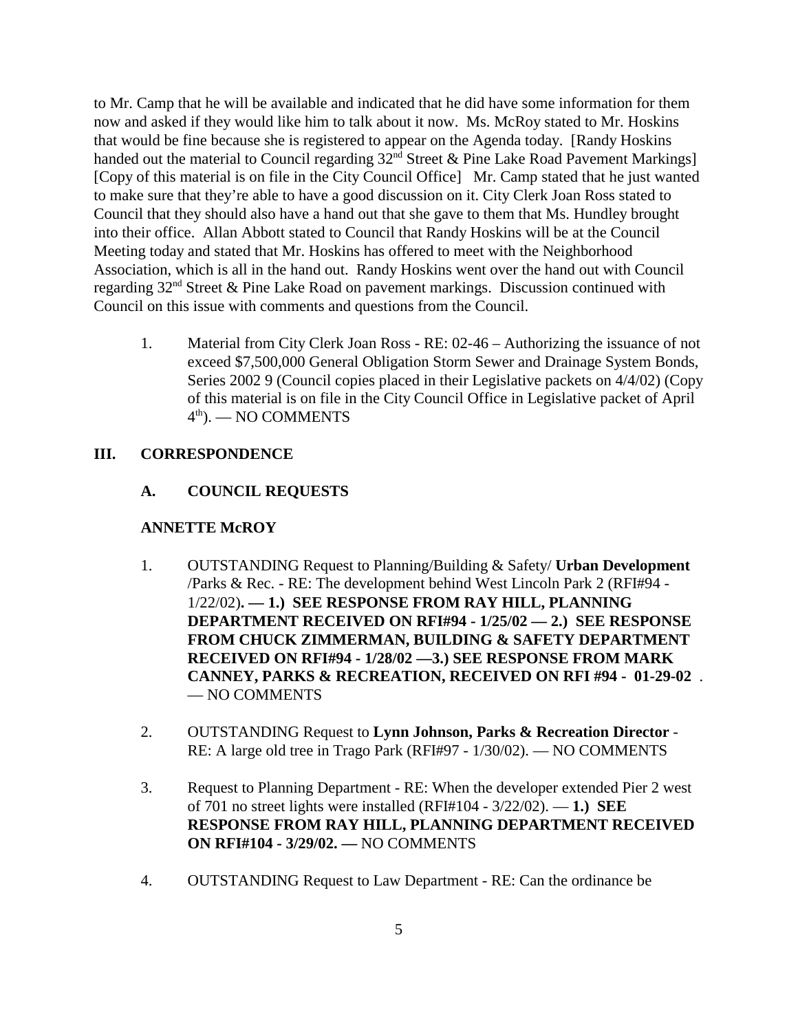to Mr. Camp that he will be available and indicated that he did have some information for them now and asked if they would like him to talk about it now. Ms. McRoy stated to Mr. Hoskins that would be fine because she is registered to appear on the Agenda today. [Randy Hoskins handed out the material to Council regarding  $32<sup>nd</sup>$  Street & Pine Lake Road Pavement Markings] [Copy of this material is on file in the City Council Office] Mr. Camp stated that he just wanted to make sure that they're able to have a good discussion on it. City Clerk Joan Ross stated to Council that they should also have a hand out that she gave to them that Ms. Hundley brought into their office. Allan Abbott stated to Council that Randy Hoskins will be at the Council Meeting today and stated that Mr. Hoskins has offered to meet with the Neighborhood Association, which is all in the hand out. Randy Hoskins went over the hand out with Council regarding 32nd Street & Pine Lake Road on pavement markings. Discussion continued with Council on this issue with comments and questions from the Council.

1. Material from City Clerk Joan Ross - RE: 02-46 – Authorizing the issuance of not exceed \$7,500,000 General Obligation Storm Sewer and Drainage System Bonds, Series 2002 9 (Council copies placed in their Legislative packets on 4/4/02) (Copy of this material is on file in the City Council Office in Legislative packet of April  $4<sup>th</sup>$ ). — NO COMMENTS

### **III. CORRESPONDENCE**

### **A. COUNCIL REQUESTS**

### **ANNETTE McROY**

- 1. OUTSTANDING Request to Planning/Building & Safety/ **Urban Development** /Parks & Rec. - RE: The development behind West Lincoln Park 2 (RFI#94 - 1/22/02)**. — 1.) SEE RESPONSE FROM RAY HILL, PLANNING DEPARTMENT RECEIVED ON RFI#94 - 1/25/02 — 2.) SEE RESPONSE FROM CHUCK ZIMMERMAN, BUILDING & SAFETY DEPARTMENT RECEIVED ON RFI#94 - 1/28/02 —3.) SEE RESPONSE FROM MARK CANNEY, PARKS & RECREATION, RECEIVED ON RFI #94 - 01-29-02** . — NO COMMENTS
- 2. OUTSTANDING Request to **Lynn Johnson, Parks & Recreation Director** RE: A large old tree in Trago Park (RFI#97 - 1/30/02). — NO COMMENTS
- 3. Request to Planning Department RE: When the developer extended Pier 2 west of 701 no street lights were installed (RFI#104 - 3/22/02). — **1.) SEE RESPONSE FROM RAY HILL, PLANNING DEPARTMENT RECEIVED ON RFI#104 - 3/29/02. —** NO COMMENTS
- 4. OUTSTANDING Request to Law Department RE: Can the ordinance be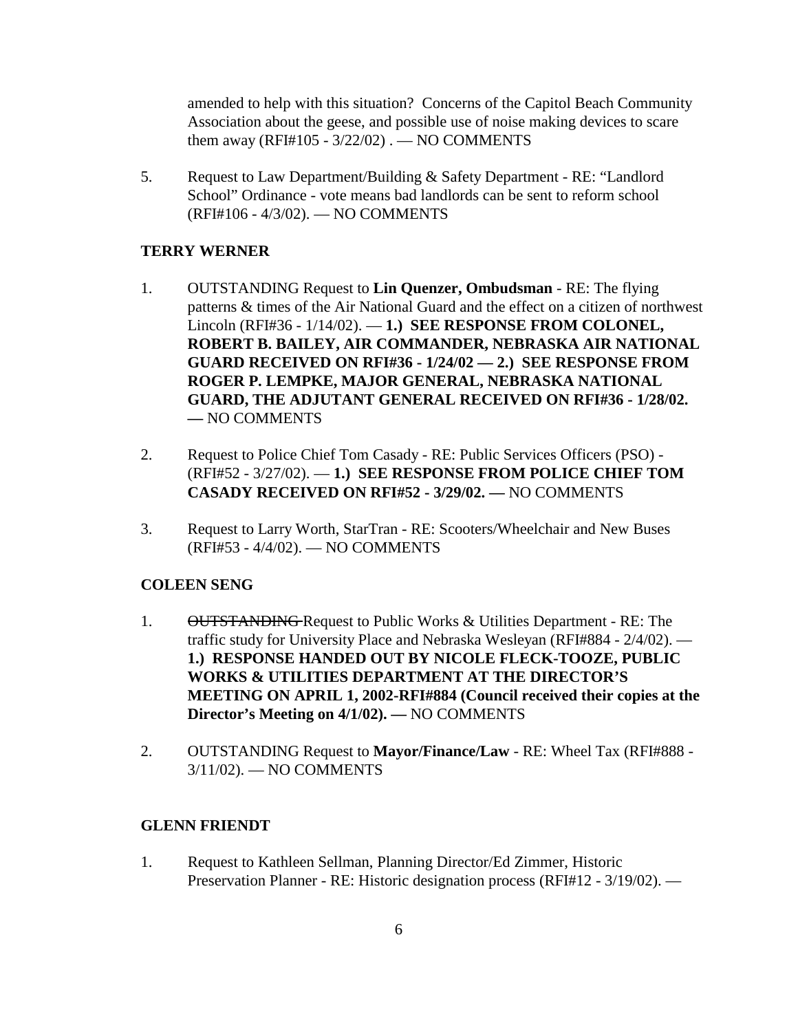amended to help with this situation? Concerns of the Capitol Beach Community Association about the geese, and possible use of noise making devices to scare them away (RFI#105 - 3/22/02) . — NO COMMENTS

5. Request to Law Department/Building & Safety Department - RE: "Landlord School" Ordinance - vote means bad landlords can be sent to reform school (RFI#106 - 4/3/02). — NO COMMENTS

#### **TERRY WERNER**

- 1. OUTSTANDING Request to **Lin Quenzer, Ombudsman** RE: The flying patterns & times of the Air National Guard and the effect on a citizen of northwest Lincoln (RFI#36 - 1/14/02). — **1.) SEE RESPONSE FROM COLONEL, ROBERT B. BAILEY, AIR COMMANDER, NEBRASKA AIR NATIONAL GUARD RECEIVED ON RFI#36 - 1/24/02 — 2.) SEE RESPONSE FROM ROGER P. LEMPKE, MAJOR GENERAL, NEBRASKA NATIONAL GUARD, THE ADJUTANT GENERAL RECEIVED ON RFI#36 - 1/28/02. —** NO COMMENTS
- 2. Request to Police Chief Tom Casady RE: Public Services Officers (PSO) (RFI#52 - 3/27/02). — **1.) SEE RESPONSE FROM POLICE CHIEF TOM CASADY RECEIVED ON RFI#52 - 3/29/02. —** NO COMMENTS
- 3. Request to Larry Worth, StarTran RE: Scooters/Wheelchair and New Buses (RFI#53 - 4/4/02). — NO COMMENTS

#### **COLEEN SENG**

- 1. OUTSTANDING Request to Public Works & Utilities Department RE: The traffic study for University Place and Nebraska Wesleyan (RFI#884 - 2/4/02). — **1.) RESPONSE HANDED OUT BY NICOLE FLECK-TOOZE, PUBLIC WORKS & UTILITIES DEPARTMENT AT THE DIRECTOR'S MEETING ON APRIL 1, 2002-RFI#884 (Council received their copies at the Director's Meeting on 4/1/02). —** NO COMMENTS
- 2. OUTSTANDING Request to **Mayor/Finance/Law** RE: Wheel Tax (RFI#888 3/11/02). — NO COMMENTS

#### **GLENN FRIENDT**

1. Request to Kathleen Sellman, Planning Director/Ed Zimmer, Historic Preservation Planner - RE: Historic designation process (RFI#12 - 3/19/02). —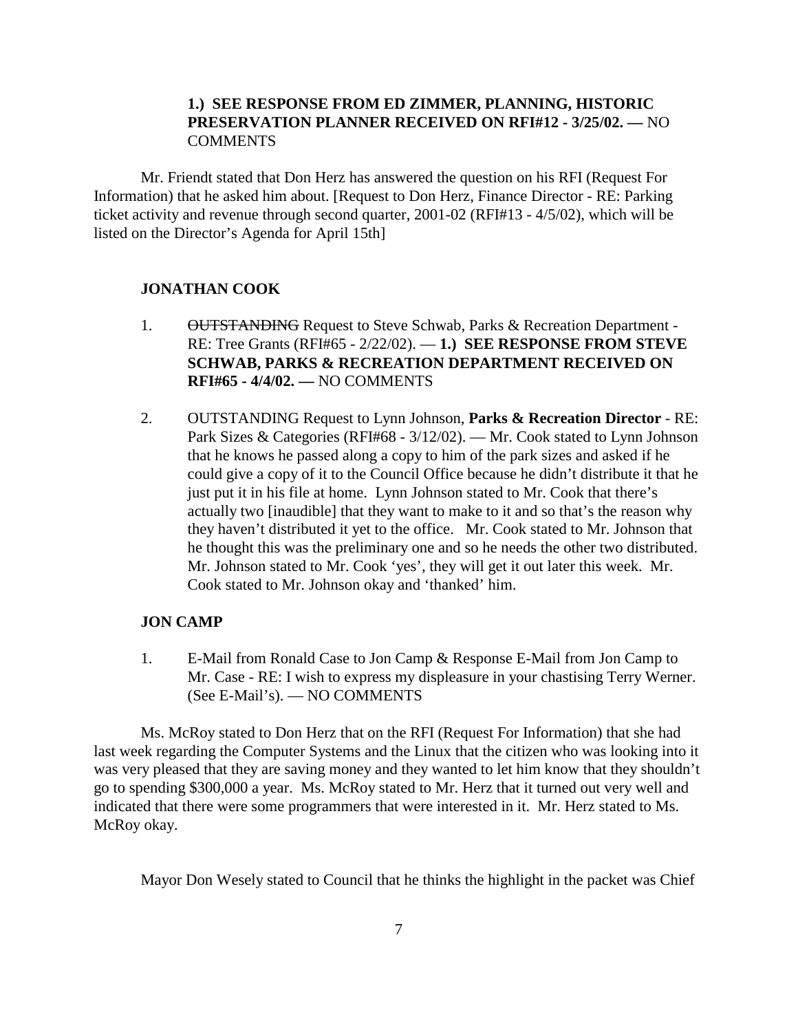### **1.) SEE RESPONSE FROM ED ZIMMER, PLANNING, HISTORIC PRESERVATION PLANNER RECEIVED ON RFI#12 - 3/25/02. —** NO COMMENTS

Mr. Friendt stated that Don Herz has answered the question on his RFI (Request For Information) that he asked him about. [Request to Don Herz, Finance Director - RE: Parking ticket activity and revenue through second quarter, 2001-02 (RFI#13 - 4/5/02), which will be listed on the Director's Agenda for April 15th]

### **JONATHAN COOK**

- 1. OUTSTANDING Request to Steve Schwab, Parks & Recreation Department -RE: Tree Grants (RFI#65 - 2/22/02). — **1.) SEE RESPONSE FROM STEVE SCHWAB, PARKS & RECREATION DEPARTMENT RECEIVED ON RFI#65 - 4/4/02. —** NO COMMENTS
- 2. OUTSTANDING Request to Lynn Johnson, **Parks & Recreation Director** RE: Park Sizes & Categories (RFI#68 - 3/12/02). — Mr. Cook stated to Lynn Johnson that he knows he passed along a copy to him of the park sizes and asked if he could give a copy of it to the Council Office because he didn't distribute it that he just put it in his file at home. Lynn Johnson stated to Mr. Cook that there's actually two [inaudible] that they want to make to it and so that's the reason why they haven't distributed it yet to the office. Mr. Cook stated to Mr. Johnson that he thought this was the preliminary one and so he needs the other two distributed. Mr. Johnson stated to Mr. Cook 'yes', they will get it out later this week. Mr. Cook stated to Mr. Johnson okay and 'thanked' him.

#### **JON CAMP**

1. E-Mail from Ronald Case to Jon Camp & Response E-Mail from Jon Camp to Mr. Case - RE: I wish to express my displeasure in your chastising Terry Werner. (See E-Mail's). — NO COMMENTS

Ms. McRoy stated to Don Herz that on the RFI (Request For Information) that she had last week regarding the Computer Systems and the Linux that the citizen who was looking into it was very pleased that they are saving money and they wanted to let him know that they shouldn't go to spending \$300,000 a year. Ms. McRoy stated to Mr. Herz that it turned out very well and indicated that there were some programmers that were interested in it. Mr. Herz stated to Ms. McRoy okay.

Mayor Don Wesely stated to Council that he thinks the highlight in the packet was Chief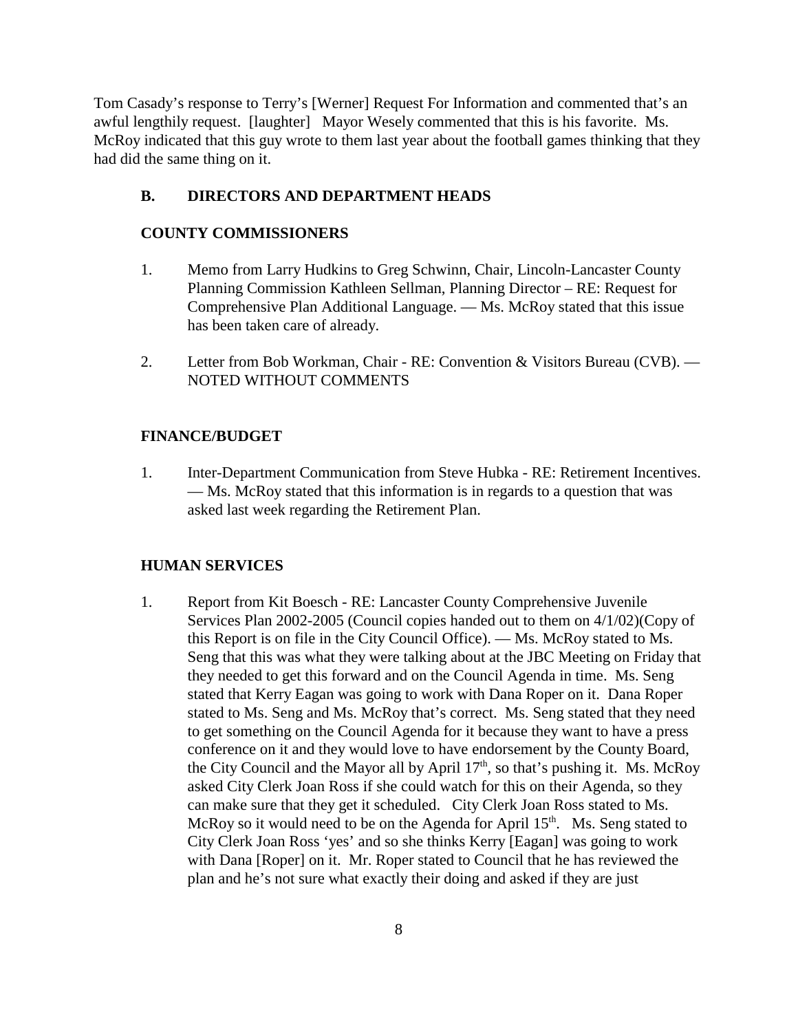Tom Casady's response to Terry's [Werner] Request For Information and commented that's an awful lengthily request. [laughter] Mayor Wesely commented that this is his favorite. Ms. McRoy indicated that this guy wrote to them last year about the football games thinking that they had did the same thing on it.

### **B. DIRECTORS AND DEPARTMENT HEADS**

### **COUNTY COMMISSIONERS**

- 1. Memo from Larry Hudkins to Greg Schwinn, Chair, Lincoln-Lancaster County Planning Commission Kathleen Sellman, Planning Director – RE: Request for Comprehensive Plan Additional Language. — Ms. McRoy stated that this issue has been taken care of already.
- 2. Letter from Bob Workman, Chair RE: Convention & Visitors Bureau (CVB). NOTED WITHOUT COMMENTS

### **FINANCE/BUDGET**

1. Inter-Department Communication from Steve Hubka - RE: Retirement Incentives. — Ms. McRoy stated that this information is in regards to a question that was asked last week regarding the Retirement Plan.

#### **HUMAN SERVICES**

1. Report from Kit Boesch - RE: Lancaster County Comprehensive Juvenile Services Plan 2002-2005 (Council copies handed out to them on 4/1/02)(Copy of this Report is on file in the City Council Office). — Ms. McRoy stated to Ms. Seng that this was what they were talking about at the JBC Meeting on Friday that they needed to get this forward and on the Council Agenda in time. Ms. Seng stated that Kerry Eagan was going to work with Dana Roper on it. Dana Roper stated to Ms. Seng and Ms. McRoy that's correct. Ms. Seng stated that they need to get something on the Council Agenda for it because they want to have a press conference on it and they would love to have endorsement by the County Board, the City Council and the Mayor all by April  $17<sup>th</sup>$ , so that's pushing it. Ms. McRoy asked City Clerk Joan Ross if she could watch for this on their Agenda, so they can make sure that they get it scheduled. City Clerk Joan Ross stated to Ms. McRoy so it would need to be on the Agenda for April  $15<sup>th</sup>$ . Ms. Seng stated to City Clerk Joan Ross 'yes' and so she thinks Kerry [Eagan] was going to work with Dana [Roper] on it. Mr. Roper stated to Council that he has reviewed the plan and he's not sure what exactly their doing and asked if they are just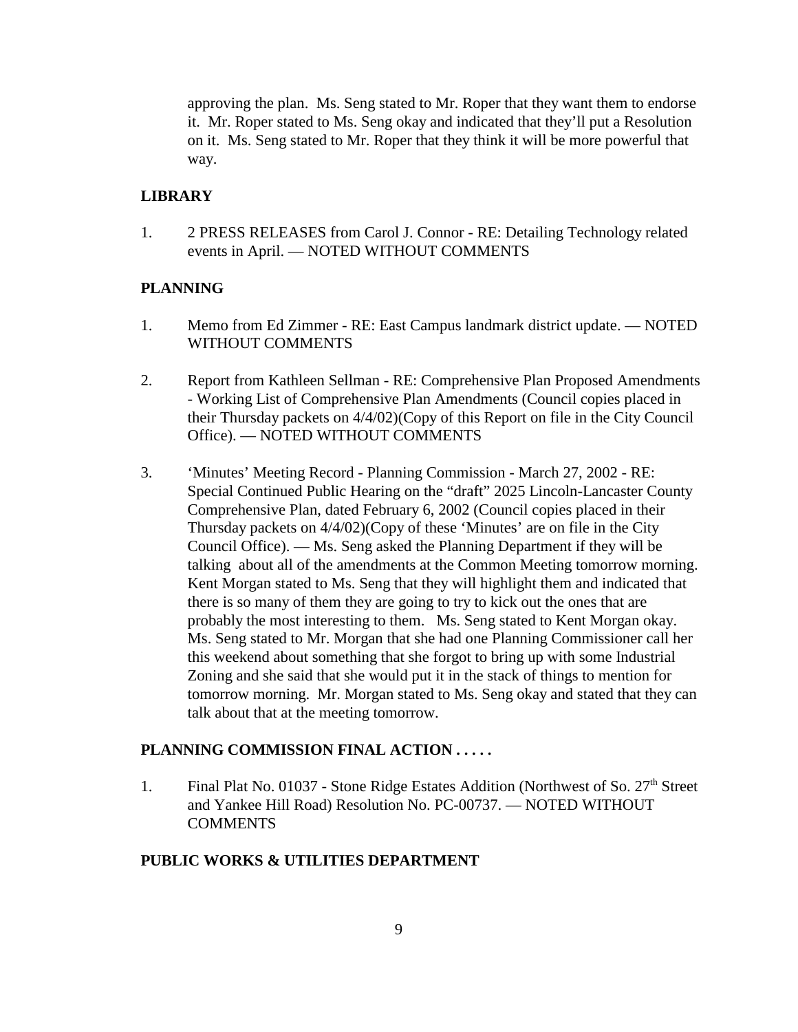approving the plan. Ms. Seng stated to Mr. Roper that they want them to endorse it. Mr. Roper stated to Ms. Seng okay and indicated that they'll put a Resolution on it. Ms. Seng stated to Mr. Roper that they think it will be more powerful that way.

#### **LIBRARY**

1. 2 PRESS RELEASES from Carol J. Connor - RE: Detailing Technology related events in April. — NOTED WITHOUT COMMENTS

### **PLANNING**

- 1. Memo from Ed Zimmer RE: East Campus landmark district update. NOTED WITHOUT COMMENTS
- 2. Report from Kathleen Sellman RE: Comprehensive Plan Proposed Amendments - Working List of Comprehensive Plan Amendments (Council copies placed in their Thursday packets on 4/4/02)(Copy of this Report on file in the City Council Office). — NOTED WITHOUT COMMENTS
- 3. 'Minutes' Meeting Record Planning Commission March 27, 2002 RE: Special Continued Public Hearing on the "draft" 2025 Lincoln-Lancaster County Comprehensive Plan, dated February 6, 2002 (Council copies placed in their Thursday packets on 4/4/02)(Copy of these 'Minutes' are on file in the City Council Office). — Ms. Seng asked the Planning Department if they will be talking about all of the amendments at the Common Meeting tomorrow morning. Kent Morgan stated to Ms. Seng that they will highlight them and indicated that there is so many of them they are going to try to kick out the ones that are probably the most interesting to them. Ms. Seng stated to Kent Morgan okay. Ms. Seng stated to Mr. Morgan that she had one Planning Commissioner call her this weekend about something that she forgot to bring up with some Industrial Zoning and she said that she would put it in the stack of things to mention for tomorrow morning. Mr. Morgan stated to Ms. Seng okay and stated that they can talk about that at the meeting tomorrow.

### **PLANNING COMMISSION FINAL ACTION . . . . .**

1. Final Plat No. 01037 - Stone Ridge Estates Addition (Northwest of So.  $27<sup>th</sup>$  Street and Yankee Hill Road) Resolution No. PC-00737. — NOTED WITHOUT **COMMENTS** 

### **PUBLIC WORKS & UTILITIES DEPARTMENT**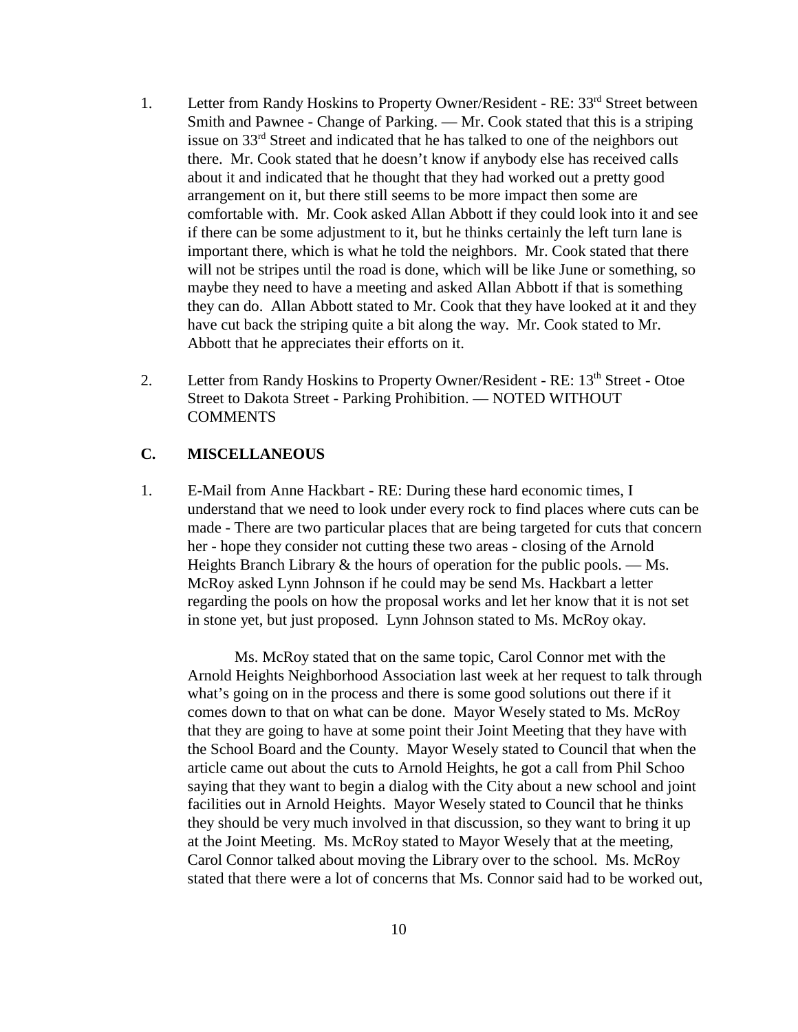- 1. Letter from Randy Hoskins to Property Owner/Resident RE: 33<sup>rd</sup> Street between Smith and Pawnee - Change of Parking. — Mr. Cook stated that this is a striping issue on 33rd Street and indicated that he has talked to one of the neighbors out there. Mr. Cook stated that he doesn't know if anybody else has received calls about it and indicated that he thought that they had worked out a pretty good arrangement on it, but there still seems to be more impact then some are comfortable with. Mr. Cook asked Allan Abbott if they could look into it and see if there can be some adjustment to it, but he thinks certainly the left turn lane is important there, which is what he told the neighbors. Mr. Cook stated that there will not be stripes until the road is done, which will be like June or something, so maybe they need to have a meeting and asked Allan Abbott if that is something they can do. Allan Abbott stated to Mr. Cook that they have looked at it and they have cut back the striping quite a bit along the way. Mr. Cook stated to Mr. Abbott that he appreciates their efforts on it.
- 2. Letter from Randy Hoskins to Property Owner/Resident RE: 13<sup>th</sup> Street Otoe Street to Dakota Street - Parking Prohibition. — NOTED WITHOUT **COMMENTS**

### **C. MISCELLANEOUS**

1. E-Mail from Anne Hackbart - RE: During these hard economic times, I understand that we need to look under every rock to find places where cuts can be made - There are two particular places that are being targeted for cuts that concern her - hope they consider not cutting these two areas - closing of the Arnold Heights Branch Library  $\&$  the hours of operation for the public pools. — Ms. McRoy asked Lynn Johnson if he could may be send Ms. Hackbart a letter regarding the pools on how the proposal works and let her know that it is not set in stone yet, but just proposed. Lynn Johnson stated to Ms. McRoy okay.

Ms. McRoy stated that on the same topic, Carol Connor met with the Arnold Heights Neighborhood Association last week at her request to talk through what's going on in the process and there is some good solutions out there if it comes down to that on what can be done. Mayor Wesely stated to Ms. McRoy that they are going to have at some point their Joint Meeting that they have with the School Board and the County. Mayor Wesely stated to Council that when the article came out about the cuts to Arnold Heights, he got a call from Phil Schoo saying that they want to begin a dialog with the City about a new school and joint facilities out in Arnold Heights. Mayor Wesely stated to Council that he thinks they should be very much involved in that discussion, so they want to bring it up at the Joint Meeting. Ms. McRoy stated to Mayor Wesely that at the meeting, Carol Connor talked about moving the Library over to the school. Ms. McRoy stated that there were a lot of concerns that Ms. Connor said had to be worked out,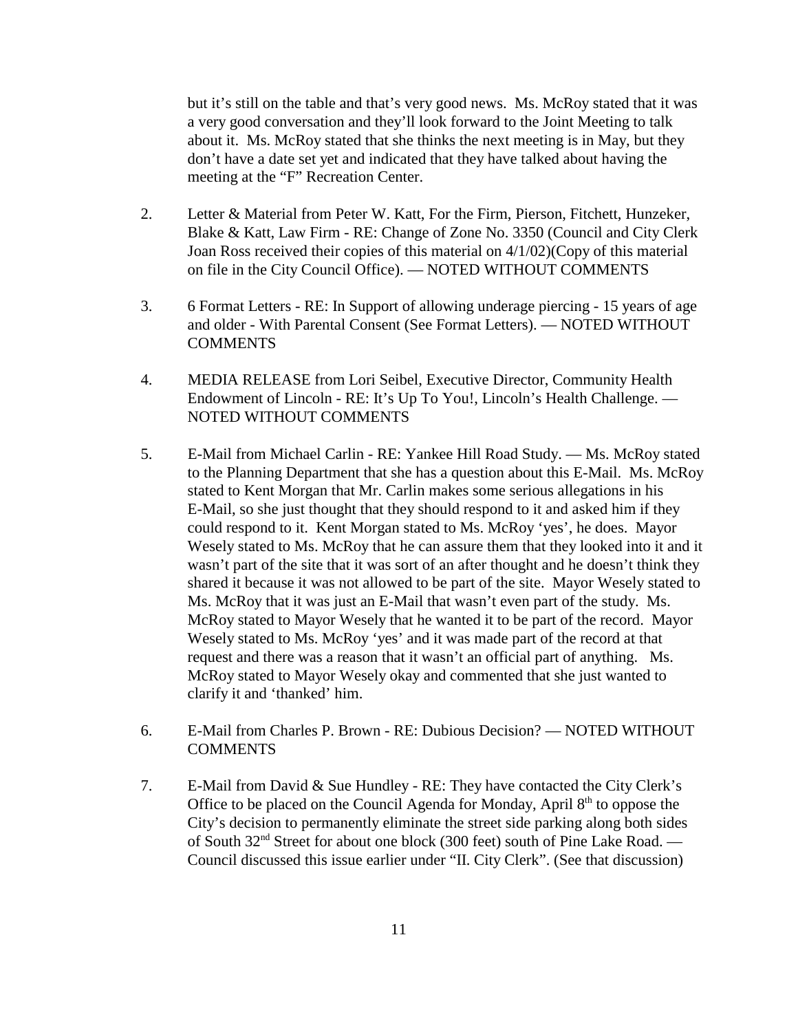but it's still on the table and that's very good news. Ms. McRoy stated that it was a very good conversation and they'll look forward to the Joint Meeting to talk about it. Ms. McRoy stated that she thinks the next meeting is in May, but they don't have a date set yet and indicated that they have talked about having the meeting at the "F" Recreation Center.

- 2. Letter & Material from Peter W. Katt, For the Firm, Pierson, Fitchett, Hunzeker, Blake & Katt, Law Firm - RE: Change of Zone No. 3350 (Council and City Clerk Joan Ross received their copies of this material on 4/1/02)(Copy of this material on file in the City Council Office). — NOTED WITHOUT COMMENTS
- 3. 6 Format Letters RE: In Support of allowing underage piercing 15 years of age and older - With Parental Consent (See Format Letters). — NOTED WITHOUT COMMENTS
- 4. MEDIA RELEASE from Lori Seibel, Executive Director, Community Health Endowment of Lincoln - RE: It's Up To You!, Lincoln's Health Challenge. — NOTED WITHOUT COMMENTS
- 5. E-Mail from Michael Carlin RE: Yankee Hill Road Study. Ms. McRoy stated to the Planning Department that she has a question about this E-Mail. Ms. McRoy stated to Kent Morgan that Mr. Carlin makes some serious allegations in his E-Mail, so she just thought that they should respond to it and asked him if they could respond to it. Kent Morgan stated to Ms. McRoy 'yes', he does. Mayor Wesely stated to Ms. McRoy that he can assure them that they looked into it and it wasn't part of the site that it was sort of an after thought and he doesn't think they shared it because it was not allowed to be part of the site. Mayor Wesely stated to Ms. McRoy that it was just an E-Mail that wasn't even part of the study. Ms. McRoy stated to Mayor Wesely that he wanted it to be part of the record. Mayor Wesely stated to Ms. McRoy 'yes' and it was made part of the record at that request and there was a reason that it wasn't an official part of anything. Ms. McRoy stated to Mayor Wesely okay and commented that she just wanted to clarify it and 'thanked' him.
- 6. E-Mail from Charles P. Brown RE: Dubious Decision? NOTED WITHOUT **COMMENTS**
- 7. E-Mail from David & Sue Hundley RE: They have contacted the City Clerk's Office to be placed on the Council Agenda for Monday, April  $8<sup>th</sup>$  to oppose the City's decision to permanently eliminate the street side parking along both sides of South 32nd Street for about one block (300 feet) south of Pine Lake Road. — Council discussed this issue earlier under "II. City Clerk". (See that discussion)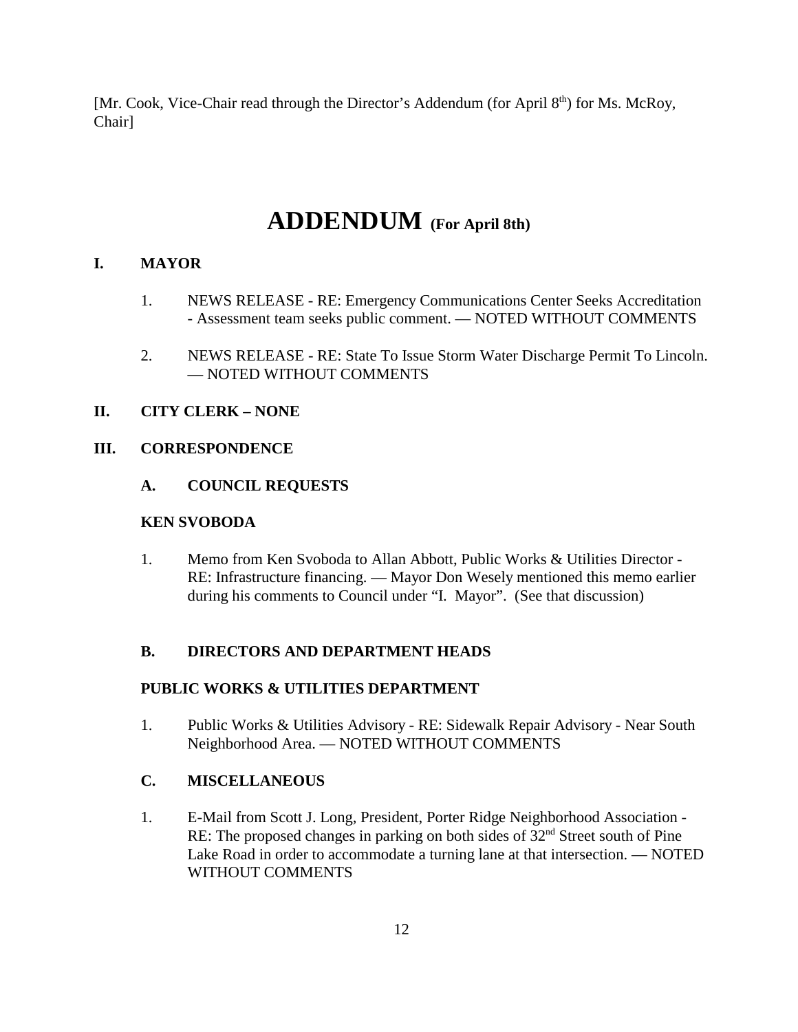[Mr. Cook, Vice-Chair read through the Director's Addendum (for April 8<sup>th</sup>) for Ms. McRoy, Chair]

# **ADDENDUM (For April 8th)**

# **I. MAYOR**

- 1. NEWS RELEASE RE: Emergency Communications Center Seeks Accreditation - Assessment team seeks public comment. — NOTED WITHOUT COMMENTS
- 2. NEWS RELEASE RE: State To Issue Storm Water Discharge Permit To Lincoln. — NOTED WITHOUT COMMENTS

### **II. CITY CLERK – NONE**

### **III. CORRESPONDENCE**

### **A. COUNCIL REQUESTS**

### **KEN SVOBODA**

1. Memo from Ken Svoboda to Allan Abbott, Public Works & Utilities Director - RE: Infrastructure financing. — Mayor Don Wesely mentioned this memo earlier during his comments to Council under "I. Mayor". (See that discussion)

# **B. DIRECTORS AND DEPARTMENT HEADS**

# **PUBLIC WORKS & UTILITIES DEPARTMENT**

1. Public Works & Utilities Advisory - RE: Sidewalk Repair Advisory - Near South Neighborhood Area. — NOTED WITHOUT COMMENTS

# **C. MISCELLANEOUS**

1. E-Mail from Scott J. Long, President, Porter Ridge Neighborhood Association - RE: The proposed changes in parking on both sides of  $32<sup>nd</sup>$  Street south of Pine Lake Road in order to accommodate a turning lane at that intersection. — NOTED WITHOUT COMMENTS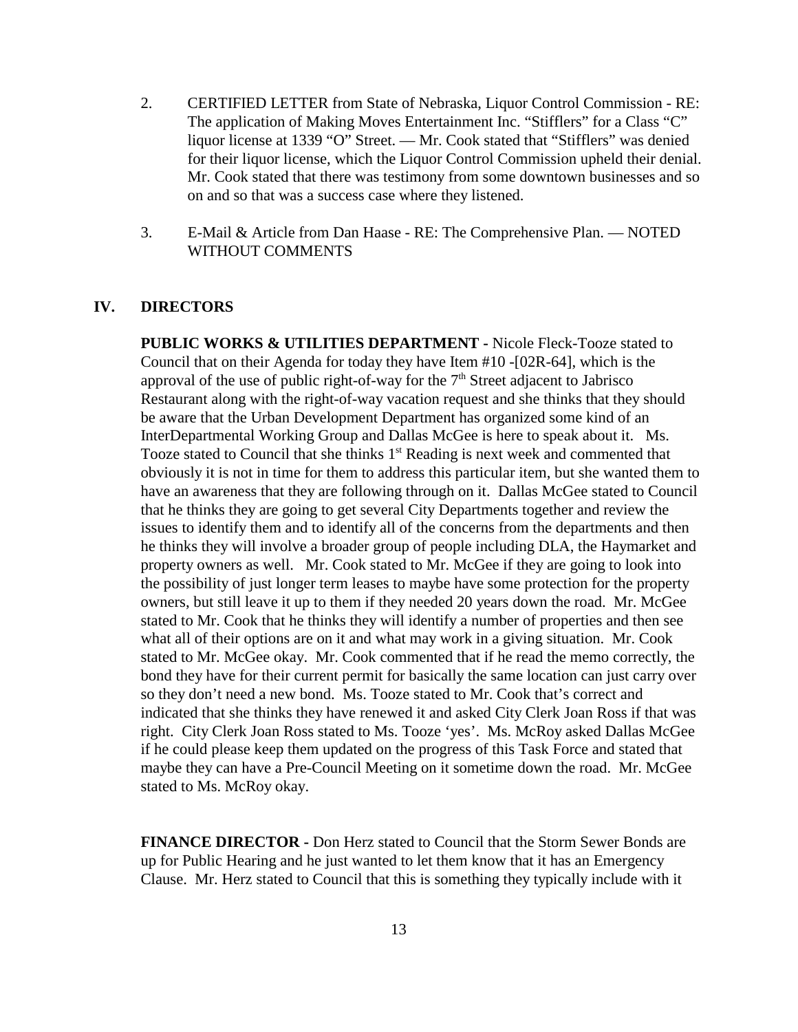- 2. CERTIFIED LETTER from State of Nebraska, Liquor Control Commission RE: The application of Making Moves Entertainment Inc. "Stifflers" for a Class "C" liquor license at 1339 "O" Street. — Mr. Cook stated that "Stifflers" was denied for their liquor license, which the Liquor Control Commission upheld their denial. Mr. Cook stated that there was testimony from some downtown businesses and so on and so that was a success case where they listened.
- 3. E-Mail & Article from Dan Haase RE: The Comprehensive Plan. NOTED WITHOUT COMMENTS

#### **IV. DIRECTORS**

**PUBLIC WORKS & UTILITIES DEPARTMENT -** Nicole Fleck-Tooze stated to Council that on their Agenda for today they have Item #10 -[02R-64], which is the approval of the use of public right-of-way for the  $7<sup>th</sup>$  Street adjacent to Jabrisco Restaurant along with the right-of-way vacation request and she thinks that they should be aware that the Urban Development Department has organized some kind of an InterDepartmental Working Group and Dallas McGee is here to speak about it. Ms. Tooze stated to Council that she thinks  $1<sup>st</sup>$  Reading is next week and commented that obviously it is not in time for them to address this particular item, but she wanted them to have an awareness that they are following through on it. Dallas McGee stated to Council that he thinks they are going to get several City Departments together and review the issues to identify them and to identify all of the concerns from the departments and then he thinks they will involve a broader group of people including DLA, the Haymarket and property owners as well. Mr. Cook stated to Mr. McGee if they are going to look into the possibility of just longer term leases to maybe have some protection for the property owners, but still leave it up to them if they needed 20 years down the road. Mr. McGee stated to Mr. Cook that he thinks they will identify a number of properties and then see what all of their options are on it and what may work in a giving situation. Mr. Cook stated to Mr. McGee okay. Mr. Cook commented that if he read the memo correctly, the bond they have for their current permit for basically the same location can just carry over so they don't need a new bond. Ms. Tooze stated to Mr. Cook that's correct and indicated that she thinks they have renewed it and asked City Clerk Joan Ross if that was right. City Clerk Joan Ross stated to Ms. Tooze 'yes'. Ms. McRoy asked Dallas McGee if he could please keep them updated on the progress of this Task Force and stated that maybe they can have a Pre-Council Meeting on it sometime down the road. Mr. McGee stated to Ms. McRoy okay.

**FINANCE DIRECTOR -** Don Herz stated to Council that the Storm Sewer Bonds are up for Public Hearing and he just wanted to let them know that it has an Emergency Clause. Mr. Herz stated to Council that this is something they typically include with it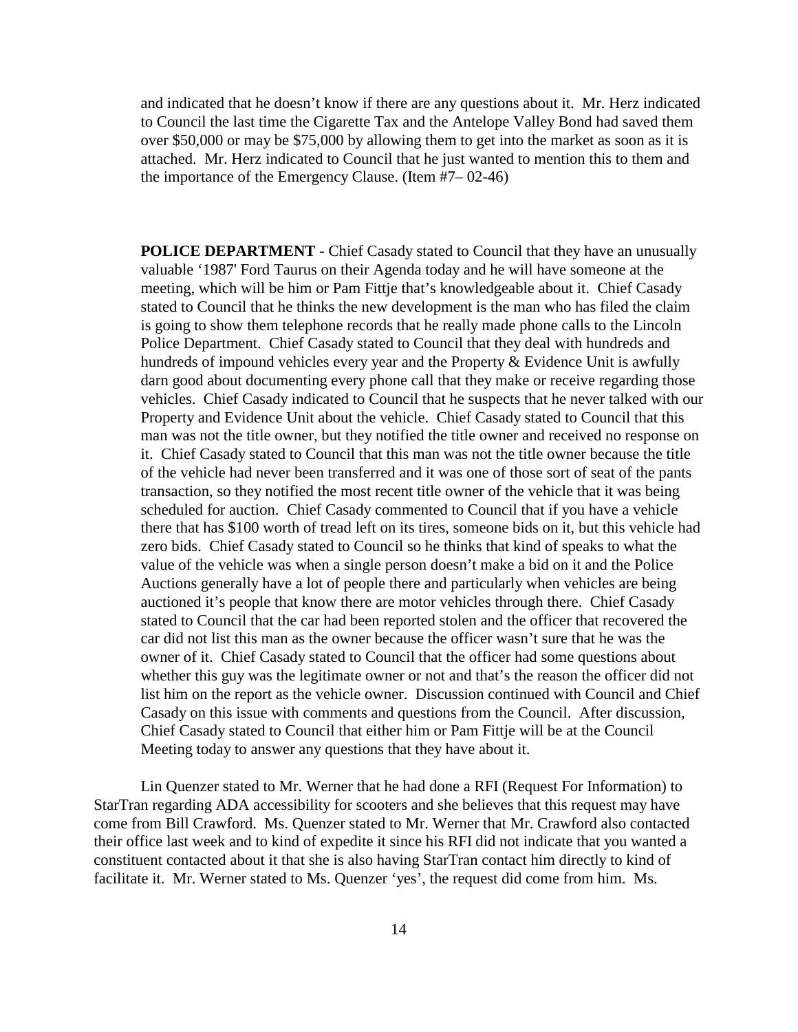and indicated that he doesn't know if there are any questions about it. Mr. Herz indicated to Council the last time the Cigarette Tax and the Antelope Valley Bond had saved them over \$50,000 or may be \$75,000 by allowing them to get into the market as soon as it is attached. Mr. Herz indicated to Council that he just wanted to mention this to them and the importance of the Emergency Clause. (Item #7– 02-46)

**POLICE DEPARTMENT - Chief Casady stated to Council that they have an unusually** valuable '1987' Ford Taurus on their Agenda today and he will have someone at the meeting, which will be him or Pam Fittje that's knowledgeable about it. Chief Casady stated to Council that he thinks the new development is the man who has filed the claim is going to show them telephone records that he really made phone calls to the Lincoln Police Department. Chief Casady stated to Council that they deal with hundreds and hundreds of impound vehicles every year and the Property & Evidence Unit is awfully darn good about documenting every phone call that they make or receive regarding those vehicles. Chief Casady indicated to Council that he suspects that he never talked with our Property and Evidence Unit about the vehicle. Chief Casady stated to Council that this man was not the title owner, but they notified the title owner and received no response on it. Chief Casady stated to Council that this man was not the title owner because the title of the vehicle had never been transferred and it was one of those sort of seat of the pants transaction, so they notified the most recent title owner of the vehicle that it was being scheduled for auction. Chief Casady commented to Council that if you have a vehicle there that has \$100 worth of tread left on its tires, someone bids on it, but this vehicle had zero bids. Chief Casady stated to Council so he thinks that kind of speaks to what the value of the vehicle was when a single person doesn't make a bid on it and the Police Auctions generally have a lot of people there and particularly when vehicles are being auctioned it's people that know there are motor vehicles through there. Chief Casady stated to Council that the car had been reported stolen and the officer that recovered the car did not list this man as the owner because the officer wasn't sure that he was the owner of it. Chief Casady stated to Council that the officer had some questions about whether this guy was the legitimate owner or not and that's the reason the officer did not list him on the report as the vehicle owner. Discussion continued with Council and Chief Casady on this issue with comments and questions from the Council. After discussion, Chief Casady stated to Council that either him or Pam Fittje will be at the Council Meeting today to answer any questions that they have about it.

Lin Quenzer stated to Mr. Werner that he had done a RFI (Request For Information) to StarTran regarding ADA accessibility for scooters and she believes that this request may have come from Bill Crawford. Ms. Quenzer stated to Mr. Werner that Mr. Crawford also contacted their office last week and to kind of expedite it since his RFI did not indicate that you wanted a constituent contacted about it that she is also having StarTran contact him directly to kind of facilitate it. Mr. Werner stated to Ms. Quenzer 'yes', the request did come from him. Ms.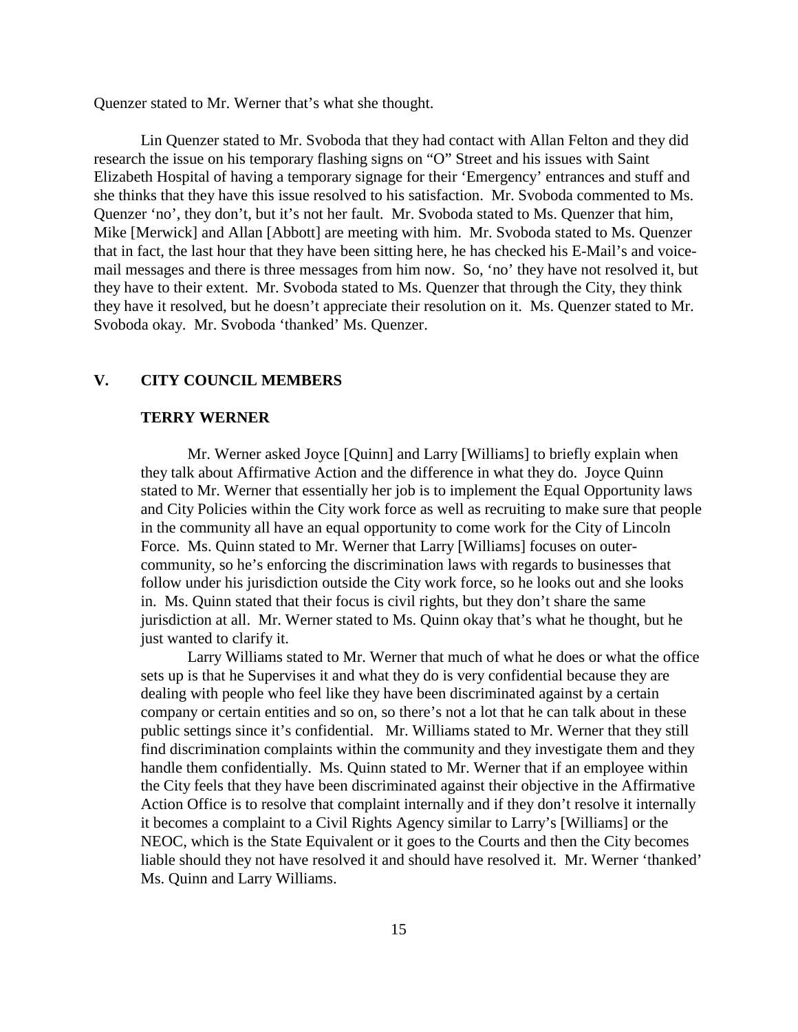Quenzer stated to Mr. Werner that's what she thought.

Lin Quenzer stated to Mr. Svoboda that they had contact with Allan Felton and they did research the issue on his temporary flashing signs on "O" Street and his issues with Saint Elizabeth Hospital of having a temporary signage for their 'Emergency' entrances and stuff and she thinks that they have this issue resolved to his satisfaction. Mr. Svoboda commented to Ms. Quenzer 'no', they don't, but it's not her fault. Mr. Svoboda stated to Ms. Quenzer that him, Mike [Merwick] and Allan [Abbott] are meeting with him. Mr. Svoboda stated to Ms. Quenzer that in fact, the last hour that they have been sitting here, he has checked his E-Mail's and voicemail messages and there is three messages from him now. So, 'no' they have not resolved it, but they have to their extent. Mr. Svoboda stated to Ms. Quenzer that through the City, they think they have it resolved, but he doesn't appreciate their resolution on it. Ms. Quenzer stated to Mr. Svoboda okay. Mr. Svoboda 'thanked' Ms. Quenzer.

### **V. CITY COUNCIL MEMBERS**

#### **TERRY WERNER**

Mr. Werner asked Joyce [Quinn] and Larry [Williams] to briefly explain when they talk about Affirmative Action and the difference in what they do. Joyce Quinn stated to Mr. Werner that essentially her job is to implement the Equal Opportunity laws and City Policies within the City work force as well as recruiting to make sure that people in the community all have an equal opportunity to come work for the City of Lincoln Force. Ms. Quinn stated to Mr. Werner that Larry [Williams] focuses on outercommunity, so he's enforcing the discrimination laws with regards to businesses that follow under his jurisdiction outside the City work force, so he looks out and she looks in. Ms. Quinn stated that their focus is civil rights, but they don't share the same jurisdiction at all. Mr. Werner stated to Ms. Quinn okay that's what he thought, but he just wanted to clarify it.

Larry Williams stated to Mr. Werner that much of what he does or what the office sets up is that he Supervises it and what they do is very confidential because they are dealing with people who feel like they have been discriminated against by a certain company or certain entities and so on, so there's not a lot that he can talk about in these public settings since it's confidential. Mr. Williams stated to Mr. Werner that they still find discrimination complaints within the community and they investigate them and they handle them confidentially. Ms. Quinn stated to Mr. Werner that if an employee within the City feels that they have been discriminated against their objective in the Affirmative Action Office is to resolve that complaint internally and if they don't resolve it internally it becomes a complaint to a Civil Rights Agency similar to Larry's [Williams] or the NEOC, which is the State Equivalent or it goes to the Courts and then the City becomes liable should they not have resolved it and should have resolved it. Mr. Werner 'thanked' Ms. Quinn and Larry Williams.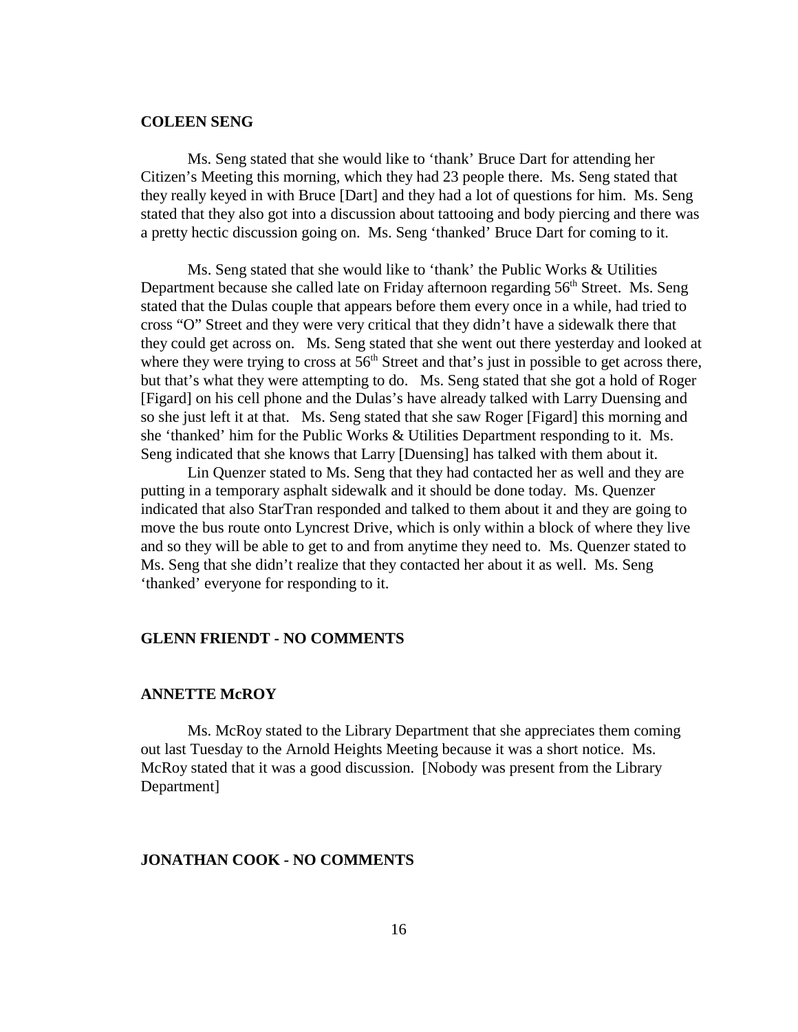#### **COLEEN SENG**

Ms. Seng stated that she would like to 'thank' Bruce Dart for attending her Citizen's Meeting this morning, which they had 23 people there. Ms. Seng stated that they really keyed in with Bruce [Dart] and they had a lot of questions for him. Ms. Seng stated that they also got into a discussion about tattooing and body piercing and there was a pretty hectic discussion going on. Ms. Seng 'thanked' Bruce Dart for coming to it.

Ms. Seng stated that she would like to 'thank' the Public Works & Utilities Department because she called late on Friday afternoon regarding 56<sup>th</sup> Street. Ms. Seng stated that the Dulas couple that appears before them every once in a while, had tried to cross "O" Street and they were very critical that they didn't have a sidewalk there that they could get across on. Ms. Seng stated that she went out there yesterday and looked at where they were trying to cross at  $56<sup>th</sup>$  Street and that's just in possible to get across there, but that's what they were attempting to do. Ms. Seng stated that she got a hold of Roger [Figard] on his cell phone and the Dulas's have already talked with Larry Duensing and so she just left it at that. Ms. Seng stated that she saw Roger [Figard] this morning and she 'thanked' him for the Public Works & Utilities Department responding to it. Ms. Seng indicated that she knows that Larry [Duensing] has talked with them about it.

Lin Quenzer stated to Ms. Seng that they had contacted her as well and they are putting in a temporary asphalt sidewalk and it should be done today. Ms. Quenzer indicated that also StarTran responded and talked to them about it and they are going to move the bus route onto Lyncrest Drive, which is only within a block of where they live and so they will be able to get to and from anytime they need to. Ms. Quenzer stated to Ms. Seng that she didn't realize that they contacted her about it as well. Ms. Seng 'thanked' everyone for responding to it.

#### **GLENN FRIENDT - NO COMMENTS**

#### **ANNETTE McROY**

Ms. McRoy stated to the Library Department that she appreciates them coming out last Tuesday to the Arnold Heights Meeting because it was a short notice. Ms. McRoy stated that it was a good discussion. [Nobody was present from the Library Department]

### **JONATHAN COOK - NO COMMENTS**